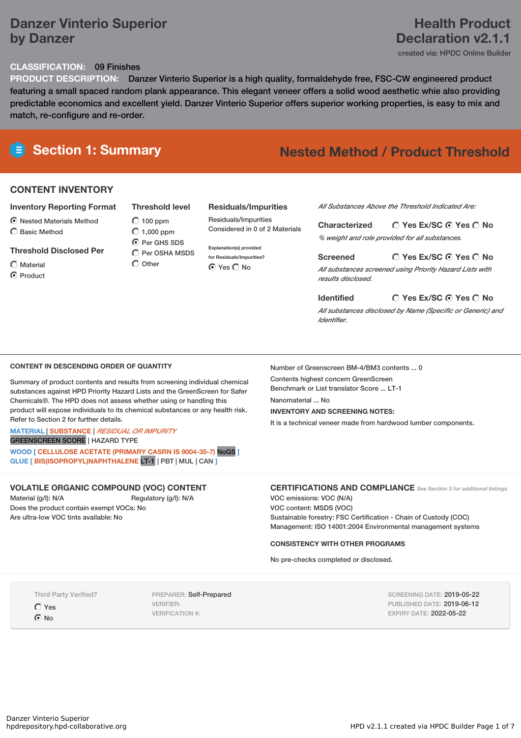## **Danzer Vinterio Superior by Danzer**

## **Health Product Declaration v2.1.1**

created via: HPDC Online Builder

#### **CLASSIFICATION:** 09 Finishes

**PRODUCT DESCRIPTION:** Danzer Vinterio Superior is a high quality, formaldehyde free, FSC-CW engineered product featuring a small spaced random plank appearance. This elegant veneer offers a solid wood aesthetic whie also providing predictable economics and excellent yield. Danzer Vinterio Superior offers superior working properties, is easy to mix and match, re-configure and re-order.

## **Section 1: Summary Nested Method / Product Threshold**

#### **CONTENT INVENTORY**

#### **Inventory Reporting Format**

- $\odot$  Nested Materials Method
- Basic Method
- **Threshold Disclosed Per**

Material C Product

 $O$  100 ppm  $\bigcirc$  1,000 ppm

 $\bigcirc$  Per OSHA MSDS

#### **Residuals/Impurities**

Residuals/Impurities Considered in 0 of 2 Materials

**Explanation(s) provided for Residuals/Impurities?** ⊙ Yes C No

*All Substances Above the Threshold Indicated Are:*

**Yes Ex/SC Yes No Characterized** *% weight and role provided for all substances.*

#### **Yes Ex/SC Yes No Screened**

*All substances screened using Priority Hazard Lists with results disclosed.*

**Yes Ex/SC Yes No Identified** *All substances disclosed by Name (Specific or Generic) and Identifier.*

#### **CONTENT IN DESCENDING ORDER OF QUANTITY**

Summary of product contents and results from screening individual chemical substances against HPD Priority Hazard Lists and the GreenScreen for Safer Chemicals®. The HPD does not assess whether using or handling this product will expose individuals to its chemical substances or any health risk. Refer to Section 2 for further details.

## **MATERIAL** | **SUBSTANCE** | *RESIDUAL OR IMPURITY*

GREENSCREEN SCORE | HAZARD TYPE

**WOOD [ CELLULOSE ACETATE (PRIMARY CASRN IS 9004-35-7)** NoGS **] GLUE [ BIS(ISOPROPYL)NAPHTHALENE** LT-1 | PBT | MUL | CAN **]**

#### **VOLATILE ORGANIC COMPOUND (VOC) CONTENT**

Material (g/l): N/A Regulatory (g/l): N/A Does the product contain exempt VOCs: No Are ultra-low VOC tints available: No

Number of Greenscreen BM-4/BM3 contents ... 0

Contents highest concern GreenScreen Benchmark or List translator Score ... LT-1

Nanomaterial ... No

#### **INVENTORY AND SCREENING NOTES:**

It is a technical veneer made from hardwood lumber components.

#### **CERTIFICATIONS AND COMPLIANCE** *See Section <sup>3</sup> for additional listings.*

VOC emissions: VOC (N/A) VOC content: MSDS (VOC) Sustainable forestry: FSC Certification - Chain of Custody (COC) Management: ISO 14001:2004 Environmental management systems

#### **CONSISTENCY WITH OTHER PROGRAMS**

No pre-checks completed or disclosed.

Third Party Verified?

Yes  $\odot$  No

PREPARER: Self-Prepared VERIFIER: VERIFICATION #:

SCREENING DATE: 2019-05-22 PUBLISHED DATE: 2019-06-12 EXPIRY DATE: 2022-05-22

**O** Per GHS SDS  $\bigcirc$  Other

# **Threshold level**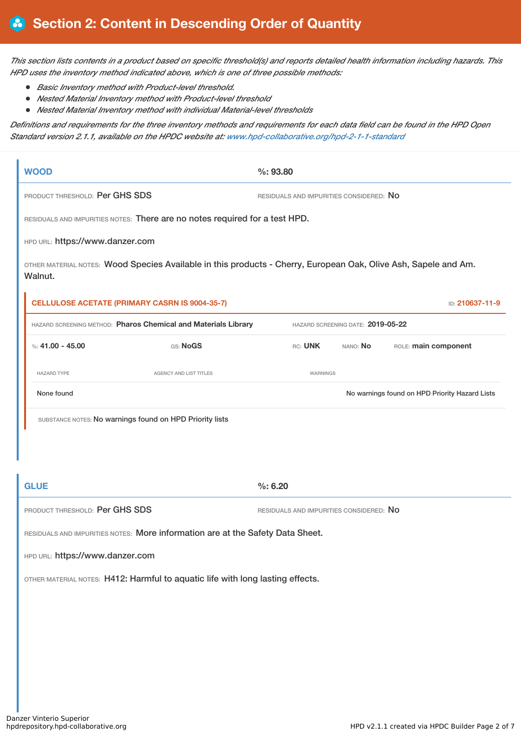This section lists contents in a product based on specific threshold(s) and reports detailed health information including hazards. This *HPD uses the inventory method indicated above, which is one of three possible methods:*

- *Basic Inventory method with Product-level threshold.*
- *Nested Material Inventory method with Product-level threshold*
- *Nested Material Inventory method with individual Material-level thresholds*

Definitions and requirements for the three inventory methods and requirements for each data field can be found in the HPD Open *Standard version 2.1.1, available on the HPDC website at: [www.hpd-collaborative.org/hpd-2-1-1-standard](https://www.hpd-collaborative.org/hpd-2-1-1-standard)*

|                                | <b>WOOD</b>                                                                                                                |                                                                          | %: 93.80                                |                                   |                                         |                                                |  |
|--------------------------------|----------------------------------------------------------------------------------------------------------------------------|--------------------------------------------------------------------------|-----------------------------------------|-----------------------------------|-----------------------------------------|------------------------------------------------|--|
| PRODUCT THRESHOLD: Per GHS SDS |                                                                                                                            |                                                                          | RESIDUALS AND IMPURITIES CONSIDERED: NO |                                   |                                         |                                                |  |
|                                | RESIDUALS AND IMPURITIES NOTES: There are no notes required for a test HPD.                                                |                                                                          |                                         |                                   |                                         |                                                |  |
|                                | HPD URL: https://www.danzer.com                                                                                            |                                                                          |                                         |                                   |                                         |                                                |  |
|                                | OTHER MATERIAL NOTES: Wood Species Available in this products - Cherry, European Oak, Olive Ash, Sapele and Am.<br>Walnut. |                                                                          |                                         |                                   |                                         |                                                |  |
|                                |                                                                                                                            | <b>CELLULOSE ACETATE (PRIMARY CASRN IS 9004-35-7)</b><br>ID: 210637-11-9 |                                         |                                   |                                         |                                                |  |
|                                | HAZARD SCREENING METHOD: Pharos Chemical and Materials Library                                                             |                                                                          |                                         | HAZARD SCREENING DATE: 2019-05-22 |                                         |                                                |  |
|                                | %: $41.00 - 45.00$                                                                                                         | GS: NoGS                                                                 | RC: UNK                                 |                                   | NANO: No                                | ROLE: main component                           |  |
|                                | <b>HAZARD TYPE</b>                                                                                                         | <b>AGENCY AND LIST TITLES</b>                                            |                                         | WARNINGS                          |                                         |                                                |  |
|                                | None found                                                                                                                 |                                                                          |                                         |                                   |                                         | No warnings found on HPD Priority Hazard Lists |  |
|                                | SUBSTANCE NOTES: No warnings found on HPD Priority lists                                                                   |                                                                          |                                         |                                   |                                         |                                                |  |
|                                |                                                                                                                            |                                                                          |                                         |                                   |                                         |                                                |  |
|                                |                                                                                                                            |                                                                          |                                         |                                   |                                         |                                                |  |
| <b>GLUE</b>                    |                                                                                                                            |                                                                          | %: 6.20                                 |                                   |                                         |                                                |  |
| PRODUCT THRESHOLD: Per GHS SDS |                                                                                                                            |                                                                          |                                         |                                   | RESIDUALS AND IMPURITIES CONSIDERED: NO |                                                |  |
|                                | RESIDUALS AND IMPURITIES NOTES: More information are at the Safety Data Sheet.                                             |                                                                          |                                         |                                   |                                         |                                                |  |
|                                | HPD URL: https://www.danzer.com                                                                                            |                                                                          |                                         |                                   |                                         |                                                |  |

OTHER MATERIAL NOTES: H412: Harmful to aquatic life with long lasting effects.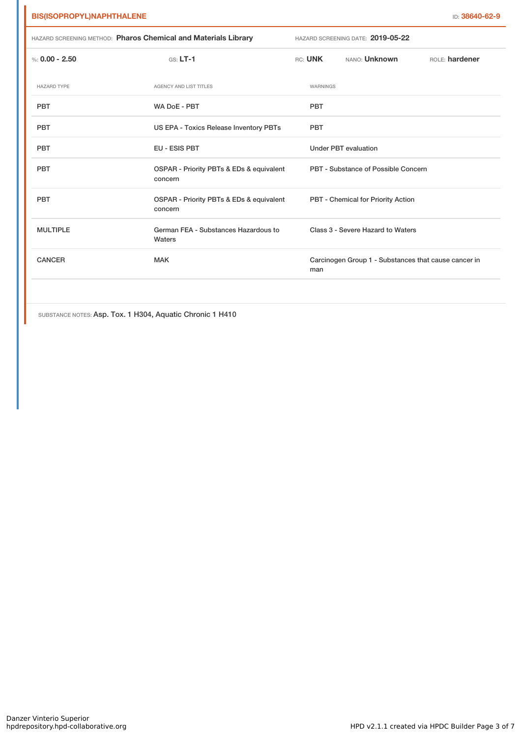|                    | HAZARD SCREENING METHOD: Pharos Chemical and Materials Library |           | HAZARD SCREENING DATE: 2019-05-22                    |                |
|--------------------|----------------------------------------------------------------|-----------|------------------------------------------------------|----------------|
| %: $0.00 - 2.50$   | $GS: LT-1$                                                     | $RC:$ UNK | NANO: Unknown                                        | ROLE: hardener |
| <b>HAZARD TYPE</b> | AGENCY AND LIST TITLES                                         | WARNINGS  |                                                      |                |
| <b>PBT</b>         | WA DoE - PBT                                                   | PBT       |                                                      |                |
| PBT                | US EPA - Toxics Release Inventory PBTs                         | PBT       |                                                      |                |
| <b>PBT</b>         | <b>EU - ESIS PBT</b>                                           |           | <b>Under PBT evaluation</b>                          |                |
| <b>PBT</b>         | OSPAR - Priority PBTs & EDs & equivalent<br>concern            |           | PBT - Substance of Possible Concern                  |                |
| <b>PBT</b>         | OSPAR - Priority PBTs & EDs & equivalent<br>concern            |           | PBT - Chemical for Priority Action                   |                |
| <b>MULTIPLE</b>    | German FEA - Substances Hazardous to<br>Waters                 |           | Class 3 - Severe Hazard to Waters                    |                |
| <b>CANCER</b>      | <b>MAK</b>                                                     | man       | Carcinogen Group 1 - Substances that cause cancer in |                |
|                    |                                                                |           |                                                      |                |

SUBSTANCE NOTES: Asp. Tox. 1 H304, Aquatic Chronic 1 H410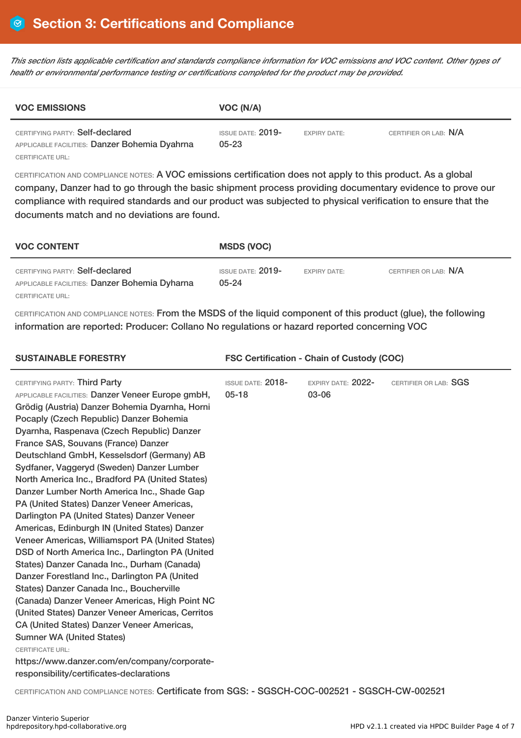This section lists applicable certification and standards compliance information for VOC emissions and VOC content. Other types of *health or environmental performance testing or certifications completed for the product may be provided.*

| <b>VOC EMISSIONS</b>                                                             | VOC (N/A)                        |                     |                       |  |  |
|----------------------------------------------------------------------------------|----------------------------------|---------------------|-----------------------|--|--|
| CERTIFYING PARTY: Self-declared<br>APPLICABLE FACILITIES: Danzer Bohemia Dyahrna | ISSUE DATE: $2019-$<br>$05 - 23$ | <b>EXPIRY DATE:</b> | CERTIFIER OR LAB: N/A |  |  |
| CERTIFICATE URL:                                                                 |                                  |                     |                       |  |  |

CERTIFICATION AND COMPLIANCE NOTES: A VOC emissions certification does not apply to this product. As a global company, Danzer had to go through the basic shipment process providing documentary evidence to prove our compliance with required standards and our product was subjected to physical verification to ensure that the documents match and no deviations are found.

| <b>VOC CONTENT</b>                                                                                   | <b>MSDS (VOC)</b>                     |                     |                       |
|------------------------------------------------------------------------------------------------------|---------------------------------------|---------------------|-----------------------|
| CERTIFYING PARTY: Self-declared<br>APPLICABLE FACILITIES: Danzer Bohemia Dyharna<br>CERTIFICATE URL: | <b>ISSUE DATE: 2019-</b><br>$05 - 24$ | <b>EXPIRY DATE:</b> | CERTIFIER OR LAB: N/A |

CERTIFICATION AND COMPLIANCE NOTES: From the MSDS of the liquid component of this product (glue), the following information are reported: Producer: Collano No regulations or hazard reported concerning VOC

| <b>SUSTAINABLE FORESTRY</b>                                                                                                                                                                                                                                                                                                                                                                                                                                                                                                                                                                                                                                                                                                                                                                                                                                                                                                                                                                                                                                                                                                                                                        | <b>FSC Certification - Chain of Custody (COC)</b> |                             |                       |  |
|------------------------------------------------------------------------------------------------------------------------------------------------------------------------------------------------------------------------------------------------------------------------------------------------------------------------------------------------------------------------------------------------------------------------------------------------------------------------------------------------------------------------------------------------------------------------------------------------------------------------------------------------------------------------------------------------------------------------------------------------------------------------------------------------------------------------------------------------------------------------------------------------------------------------------------------------------------------------------------------------------------------------------------------------------------------------------------------------------------------------------------------------------------------------------------|---------------------------------------------------|-----------------------------|-----------------------|--|
| CERTIFYING PARTY: Third Party<br>APPLICABLE FACILITIES: Danzer Veneer Europe gmbH,<br>Grödig (Austria) Danzer Bohemia Dyarnha, Horni<br>Pocaply (Czech Republic) Danzer Bohemia<br>Dyarnha, Raspenava (Czech Republic) Danzer<br>France SAS, Souvans (France) Danzer<br>Deutschland GmbH, Kesselsdorf (Germany) AB<br>Sydfaner, Vaggeryd (Sweden) Danzer Lumber<br>North America Inc., Bradford PA (United States)<br>Danzer Lumber North America Inc., Shade Gap<br>PA (United States) Danzer Veneer Americas,<br>Darlington PA (United States) Danzer Veneer<br>Americas, Edinburgh IN (United States) Danzer<br>Veneer Americas, Williamsport PA (United States)<br>DSD of North America Inc., Darlington PA (United<br>States) Danzer Canada Inc., Durham (Canada)<br>Danzer Forestland Inc., Darlington PA (United<br>States) Danzer Canada Inc., Boucherville<br>(Canada) Danzer Veneer Americas, High Point NC<br>(United States) Danzer Veneer Americas, Cerritos<br>CA (United States) Danzer Veneer Americas,<br><b>Sumner WA (United States)</b><br><b>CERTIFICATE URL:</b><br>https://www.danzer.com/en/company/corporate-<br>responsibility/certificates-declarations | <b>ISSUE DATE: 2018-</b><br>$05 - 18$             | EXPIRY DATE: 2022-<br>03-06 | CERTIFIER OR LAB: SGS |  |
|                                                                                                                                                                                                                                                                                                                                                                                                                                                                                                                                                                                                                                                                                                                                                                                                                                                                                                                                                                                                                                                                                                                                                                                    |                                                   |                             |                       |  |

CERTIFICATION AND COMPLIANCE NOTES: Certificate from SGS: - SGSCH-COC-002521 - SGSCH-CW-002521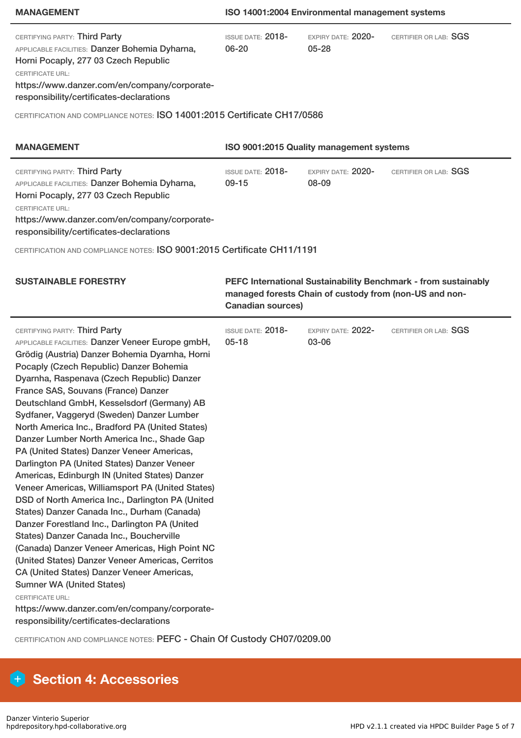### **MANAGEMENT ISO 14001:2004 Environmental management systems**

| CERTIFYING PARTY: Third Party<br>APPLICABLE FACILITIES: Danzer Bohemia Dyharna,<br>Horni Pocaply, 277 03 Czech Republic<br><b>CERTIFICATE URL:</b><br>https://www.danzer.com/en/company/corporate-<br>responsibility/certificates-declarations                                                                                                                                                                                                                                                                                                                                                                                                                                                                                                                                                                                                                                                                                                                                                                                                                                                                                                                                                                                                                 | ISSUE DATE: 2018-<br>$06 - 20$                                                                                                                       | EXPIRY DATE: 2020-<br>$05 - 28$ | CERTIFIER OR LAB: SGS |  |
|----------------------------------------------------------------------------------------------------------------------------------------------------------------------------------------------------------------------------------------------------------------------------------------------------------------------------------------------------------------------------------------------------------------------------------------------------------------------------------------------------------------------------------------------------------------------------------------------------------------------------------------------------------------------------------------------------------------------------------------------------------------------------------------------------------------------------------------------------------------------------------------------------------------------------------------------------------------------------------------------------------------------------------------------------------------------------------------------------------------------------------------------------------------------------------------------------------------------------------------------------------------|------------------------------------------------------------------------------------------------------------------------------------------------------|---------------------------------|-----------------------|--|
| CERTIFICATION AND COMPLIANCE NOTES: ISO 14001:2015 Certificate CH17/0586                                                                                                                                                                                                                                                                                                                                                                                                                                                                                                                                                                                                                                                                                                                                                                                                                                                                                                                                                                                                                                                                                                                                                                                       |                                                                                                                                                      |                                 |                       |  |
| <b>MANAGEMENT</b>                                                                                                                                                                                                                                                                                                                                                                                                                                                                                                                                                                                                                                                                                                                                                                                                                                                                                                                                                                                                                                                                                                                                                                                                                                              | ISO 9001:2015 Quality management systems                                                                                                             |                                 |                       |  |
| CERTIFYING PARTY: Third Party<br>APPLICABLE FACILITIES: Danzer Bohemia Dyharna,<br>Horni Pocaply, 277 03 Czech Republic<br><b>CERTIFICATE URL:</b><br>https://www.danzer.com/en/company/corporate-<br>responsibility/certificates-declarations<br>CERTIFICATION AND COMPLIANCE NOTES: ISO 9001:2015 Certificate CH11/1191                                                                                                                                                                                                                                                                                                                                                                                                                                                                                                                                                                                                                                                                                                                                                                                                                                                                                                                                      | ISSUE DATE: 2018-<br>$09 - 15$                                                                                                                       | EXPIRY DATE: 2020-<br>08-09     | CERTIFIER OR LAB: SGS |  |
| <b>SUSTAINABLE FORESTRY</b>                                                                                                                                                                                                                                                                                                                                                                                                                                                                                                                                                                                                                                                                                                                                                                                                                                                                                                                                                                                                                                                                                                                                                                                                                                    | PEFC International Sustainability Benchmark - from sustainably<br>managed forests Chain of custody from (non-US and non-<br><b>Canadian sources)</b> |                                 |                       |  |
| CERTIFYING PARTY: Third Party<br>APPLICABLE FACILITIES: Danzer Veneer Europe gmbH,<br>Grödig (Austria) Danzer Bohemia Dyarnha, Horni<br>Pocaply (Czech Republic) Danzer Bohemia<br>Dyarnha, Raspenava (Czech Republic) Danzer<br>France SAS, Souvans (France) Danzer<br>Deutschland GmbH, Kesselsdorf (Germany) AB<br>Sydfaner, Vaggeryd (Sweden) Danzer Lumber<br>North America Inc., Bradford PA (United States)<br>Danzer Lumber North America Inc., Shade Gap<br>PA (United States) Danzer Veneer Americas,<br>Darlington PA (United States) Danzer Veneer<br>Americas, Edinburgh IN (United States) Danzer<br>Veneer Americas, Williamsport PA (United States)<br>DSD of North America Inc., Darlington PA (United<br>States) Danzer Canada Inc., Durham (Canada)<br>Danzer Forestland Inc., Darlington PA (United<br>States) Danzer Canada Inc., Boucherville<br>(Canada) Danzer Veneer Americas, High Point NC<br>(United States) Danzer Veneer Americas, Cerritos<br>CA (United States) Danzer Veneer Americas,<br><b>Sumner WA (United States)</b><br><b>CERTIFICATE URL:</b><br>https://www.danzer.com/en/company/corporate-<br>responsibility/certificates-declarations<br>CERTIFICATION AND COMPLIANCE NOTES: PEFC - Chain Of Custody CH07/0209.00 | ISSUE DATE: 2018-<br>$05 - 18$                                                                                                                       | EXPIRY DATE: 2022-<br>03-06     | CERTIFIER OR LAB: SGS |  |

# **Section 4: Accessories**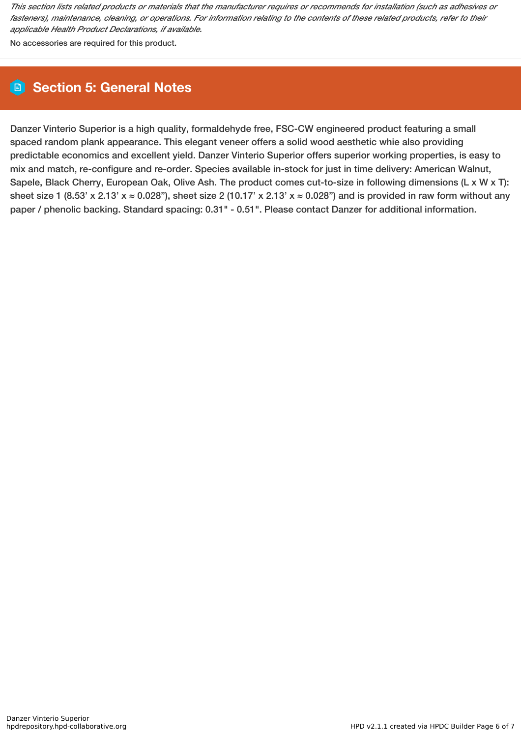This section lists related products or materials that the manufacturer requires or recommends for installation (such as adhesives or fasteners), maintenance, cleaning, or operations. For information relating to the contents of these related products, refer to their *applicable Health Product Declarations, if available.*

No accessories are required for this product.

## **Section 5: General Notes**

Danzer Vinterio Superior is a high quality, formaldehyde free, FSC-CW engineered product featuring a small spaced random plank appearance. This elegant veneer offers a solid wood aesthetic whie also providing predictable economics and excellent yield. Danzer Vinterio Superior offers superior working properties, is easy to mix and match, re-configure and re-order. Species available in-stock for just in time delivery: American Walnut, Sapele, Black Cherry, European Oak, Olive Ash. The product comes cut-to-size in following dimensions (L x W x T): sheet size 1 (8.53' x 2.13'  $x \approx 0.028$ "), sheet size 2 (10.17' x 2.13'  $x \approx 0.028$ ") and is provided in raw form without any paper / phenolic backing. Standard spacing: 0.31" - 0.51". Please contact Danzer for additional information.